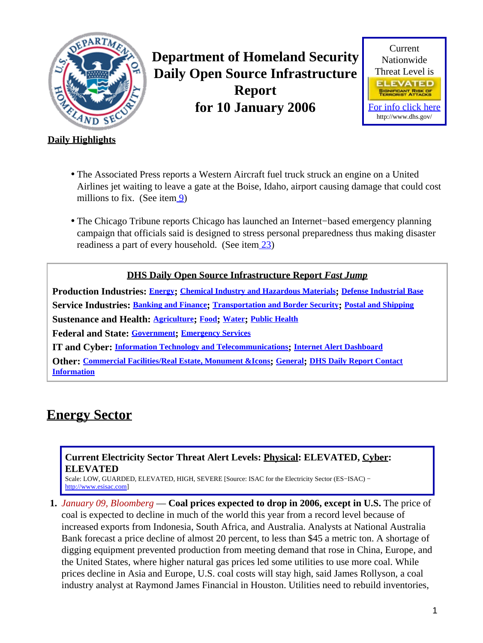<span id="page-0-1"></span>

**Department of Homeland Security Daily Open Source Infrastructure Report for 10 January 2006**



### **Daily Highlights**

- The Associated Press reports a Western Aircraft fuel truck struck an engine on a United Airlines jet waiting to leave a gate at the Boise, Idaho, airport causing damage that could cost millions to fix. (See item [9](#page-4-0))
- The Chicago Tribune reports Chicago has launched an Internet−based emergency planning campaign that officials said is designed to stress personal preparedness thus making disaster readiness a part of every household. (See ite[m 23](#page-9-0))

#### **DHS Daily Open Source Infrastructure Report** *Fast Jump*

**Production Industries: [Energy](#page-0-0); [Chemical Industry and Hazardous Materials](#page-1-0); [Defense Industrial Base](#page-1-1) Service Industries: [Banking and Finance](#page-1-2); [Transportation and Border Security](#page-4-1); [Postal and Shipping](#page-5-0) Sustenance and Health: [Agriculture](#page-5-1); [Food](#page-6-0); [Water](#page-7-0); [Public Health](#page-7-1) Federal and State: [Government](#page-8-0); [Emergency Services](#page-9-1) IT and Cyber: [Information Technology and Telecommunications](#page-10-0); [Internet Alert Dashboard](#page-11-0)**

**Other: [Commercial Facilities/Real Estate, Monument &Icons](#page-12-0); [General](#page-12-1); [DHS Daily Report Contact](#page-13-0) [Information](#page-13-0)**

### <span id="page-0-0"></span>**Energy Sector**

#### **Current Electricity Sector Threat Alert Levels: Physical: ELEVATED, Cyber: ELEVATED**

Scale: LOW, GUARDED, ELEVATED, HIGH, SEVERE [Source: ISAC for the Electricity Sector (ES−ISAC) − [http://www.esisac.com](http://esisac.com)]

**1.** *January 09, Bloomberg* — **Coal prices expected to drop in 2006, except in U.S.** The price of coal is expected to decline in much of the world this year from a record level because of increased exports from Indonesia, South Africa, and Australia. Analysts at National Australia Bank forecast a price decline of almost 20 percent, to less than \$45 a metric ton. A shortage of digging equipment prevented production from meeting demand that rose in China, Europe, and the United States, where higher natural gas prices led some utilities to use more coal. While prices decline in Asia and Europe, U.S. coal costs will stay high, said James Rollyson, a coal industry analyst at Raymond James Financial in Houston. Utilities need to rebuild inventories,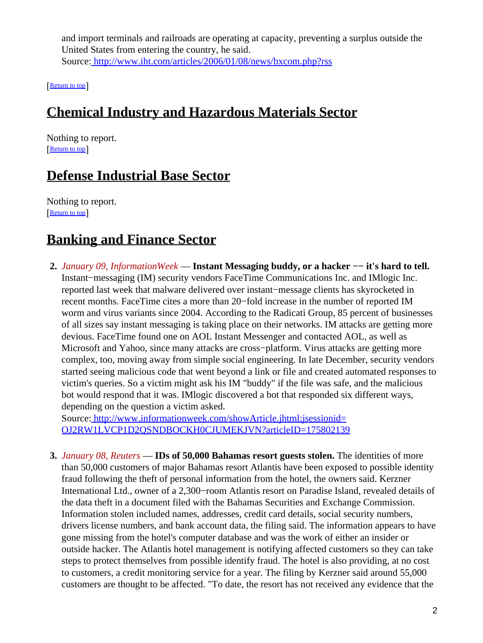and import terminals and railroads are operating at capacity, preventing a surplus outside the United States from entering the country, he said. Source[: http://www.iht.com/articles/2006/01/08/news/bxcom.php?rss](http://www.iht.com/articles/2006/01/08/news/bxcom.php?rss)

[[Return to top](#page-0-1)]

## <span id="page-1-0"></span>**Chemical Industry and Hazardous Materials Sector**

Nothing to report. [[Return to top](#page-0-1)]

### <span id="page-1-1"></span>**Defense Industrial Base Sector**

Nothing to report. [[Return to top](#page-0-1)]

### <span id="page-1-2"></span>**Banking and Finance Sector**

**2.** *January 09, InformationWeek* — **Instant Messaging buddy, or a hacker −− it's hard to tell.** Instant−messaging (IM) security vendors FaceTime Communications Inc. and IMlogic Inc. reported last week that malware delivered over instant−message clients has skyrocketed in recent months. FaceTime cites a more than 20−fold increase in the number of reported IM worm and virus variants since 2004. According to the Radicati Group, 85 percent of businesses of all sizes say instant messaging is taking place on their networks. IM attacks are getting more devious. FaceTime found one on AOL Instant Messenger and contacted AOL, as well as Microsoft and Yahoo, since many attacks are cross−platform. Virus attacks are getting more complex, too, moving away from simple social engineering. In late December, security vendors started seeing malicious code that went beyond a link or file and created automated responses to victim's queries. So a victim might ask his IM "buddy" if the file was safe, and the malicious bot would respond that it was. IMlogic discovered a bot that responded six different ways, depending on the question a victim asked.

Source[: http://www.informationweek.com/showArticle.jhtml;jsessionid=](http://www.informationweek.com/showArticle.jhtml;jsessionid=OJ2RW1LVCP1D2QSNDBOCKH0CJUMEKJVN?articleID=175802139) [OJ2RW1LVCP1D2QSNDBOCKH0CJUMEKJVN?articleID=175802139](http://www.informationweek.com/showArticle.jhtml;jsessionid=OJ2RW1LVCP1D2QSNDBOCKH0CJUMEKJVN?articleID=175802139)

**3.** *January 08, Reuters* — **IDs of 50,000 Bahamas resort guests stolen.** The identities of more than 50,000 customers of major Bahamas resort Atlantis have been exposed to possible identity fraud following the theft of personal information from the hotel, the owners said. Kerzner International Ltd., owner of a 2,300−room Atlantis resort on Paradise Island, revealed details of the data theft in a document filed with the Bahamas Securities and Exchange Commission. Information stolen included names, addresses, credit card details, social security numbers, drivers license numbers, and bank account data, the filing said. The information appears to have gone missing from the hotel's computer database and was the work of either an insider or outside hacker. The Atlantis hotel management is notifying affected customers so they can take steps to protect themselves from possible identify fraud. The hotel is also providing, at no cost to customers, a credit monitoring service for a year. The filing by Kerzner said around 55,000 customers are thought to be affected. "To date, the resort has not received any evidence that the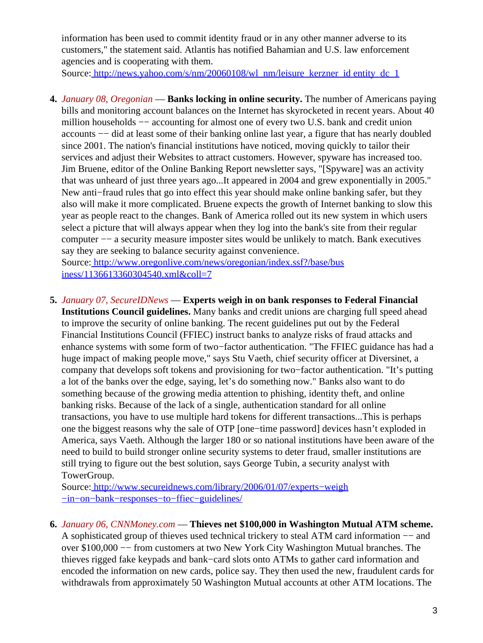information has been used to commit identity fraud or in any other manner adverse to its customers," the statement said. Atlantis has notified Bahamian and U.S. law enforcement agencies and is cooperating with them.

Source[: http://news.yahoo.com/s/nm/20060108/wl\\_nm/leisure\\_kerzner\\_id entity\\_dc\\_1](http://news.yahoo.com/s/nm/20060108/wl_nm/leisure_kerzner_identity_dc_1)

**4.** *January 08, Oregonian* — **Banks locking in online security.** The number of Americans paying bills and monitoring account balances on the Internet has skyrocketed in recent years. About 40 million households −− accounting for almost one of every two U.S. bank and credit union accounts −− did at least some of their banking online last year, a figure that has nearly doubled since 2001. The nation's financial institutions have noticed, moving quickly to tailor their services and adjust their Websites to attract customers. However, spyware has increased too. Jim Bruene, editor of the Online Banking Report newsletter says, "[Spyware] was an activity that was unheard of just three years ago...It appeared in 2004 and grew exponentially in 2005." New anti−fraud rules that go into effect this year should make online banking safer, but they also will make it more complicated. Bruene expects the growth of Internet banking to slow this year as people react to the changes. Bank of America rolled out its new system in which users select a picture that will always appear when they log into the bank's site from their regular computer −− a security measure imposter sites would be unlikely to match. Bank executives say they are seeking to balance security against convenience.

Source[: http://www.oregonlive.com/news/oregonian/index.ssf?/base/bus](http://www.oregonlive.com/news/oregonian/index.ssf?/base/business/1136613360304540.xml&coll=7) [iness/1136613360304540.xml&coll=7](http://www.oregonlive.com/news/oregonian/index.ssf?/base/business/1136613360304540.xml&coll=7)

**5.** *January 07, SecureIDNews* — **Experts weigh in on bank responses to Federal Financial**

**Institutions Council guidelines.** Many banks and credit unions are charging full speed ahead to improve the security of online banking. The recent guidelines put out by the Federal Financial Institutions Council (FFIEC) instruct banks to analyze risks of fraud attacks and enhance systems with some form of two−factor authentication. "The FFIEC guidance has had a huge impact of making people move," says Stu Vaeth, chief security officer at Diversinet, a company that develops soft tokens and provisioning for two−factor authentication. "It's putting a lot of the banks over the edge, saying, let's do something now." Banks also want to do something because of the growing media attention to phishing, identity theft, and online banking risks. Because of the lack of a single, authentication standard for all online transactions, you have to use multiple hard tokens for different transactions...This is perhaps one the biggest reasons why the sale of OTP [one−time password] devices hasn't exploded in America, says Vaeth. Although the larger 180 or so national institutions have been aware of the need to build to build stronger online security systems to deter fraud, smaller institutions are still trying to figure out the best solution, says George Tubin, a security analyst with TowerGroup.

Source[: http://www.secureidnews.com/library/2006/01/07/experts−weigh](http://www.secureidnews.com/library/2006/01/07/experts-weigh-in-on-bank-responses-to-ffiec-guidelines/) [−in−on−bank−responses−to−ffiec−guidelines/](http://www.secureidnews.com/library/2006/01/07/experts-weigh-in-on-bank-responses-to-ffiec-guidelines/)

**6.** *January 06, CNNMoney.com* — **Thieves net \$100,000 in Washington Mutual ATM scheme.**

A sophisticated group of thieves used technical trickery to steal ATM card information −− and over \$100,000 −− from customers at two New York City Washington Mutual branches. The thieves rigged fake keypads and bank−card slots onto ATMs to gather card information and encoded the information on new cards, police say. They then used the new, fraudulent cards for withdrawals from approximately 50 Washington Mutual accounts at other ATM locations. The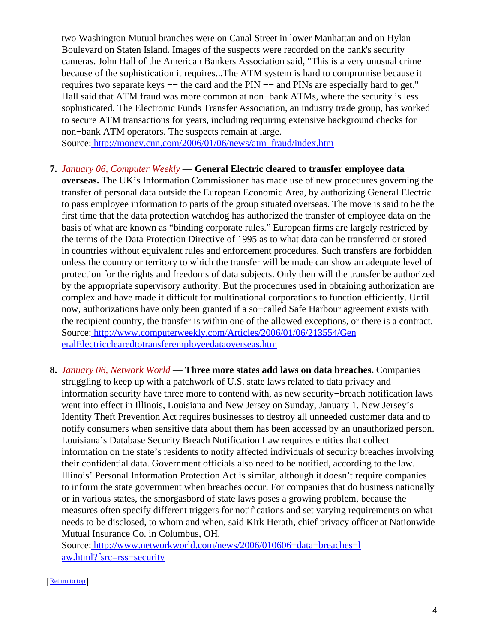two Washington Mutual branches were on Canal Street in lower Manhattan and on Hylan Boulevard on Staten Island. Images of the suspects were recorded on the bank's security cameras. John Hall of the American Bankers Association said, "This is a very unusual crime because of the sophistication it requires...The ATM system is hard to compromise because it requires two separate keys –– the card and the PIN –– and PINs are especially hard to get." Hall said that ATM fraud was more common at non−bank ATMs, where the security is less sophisticated. The Electronic Funds Transfer Association, an industry trade group, has worked to secure ATM transactions for years, including requiring extensive background checks for non−bank ATM operators. The suspects remain at large.

Source[: http://money.cnn.com/2006/01/06/news/atm\\_fraud/index.htm](http://money.cnn.com/2006/01/06/news/atm_fraud/index.htm)

#### **7.** *January 06, Computer Weekly* — **General Electric cleared to transfer employee data**

**overseas.** The UK's Information Commissioner has made use of new procedures governing the transfer of personal data outside the European Economic Area, by authorizing General Electric to pass employee information to parts of the group situated overseas. The move is said to be the first time that the data protection watchdog has authorized the transfer of employee data on the basis of what are known as "binding corporate rules." European firms are largely restricted by the terms of the Data Protection Directive of 1995 as to what data can be transferred or stored in countries without equivalent rules and enforcement procedures. Such transfers are forbidden unless the country or territory to which the transfer will be made can show an adequate level of protection for the rights and freedoms of data subjects. Only then will the transfer be authorized by the appropriate supervisory authority. But the procedures used in obtaining authorization are complex and have made it difficult for multinational corporations to function efficiently. Until now, authorizations have only been granted if a so−called Safe Harbour agreement exists with the recipient country, the transfer is within one of the allowed exceptions, or there is a contract. Source[: http://www.computerweekly.com/Articles/2006/01/06/213554/Gen](http://www.computerweekly.com/Articles/2006/01/06/213554/GeneralElectricclearedtotransferemployeedataoverseas.htm) [eralElectricclearedtotransferemployeedataoverseas.htm](http://www.computerweekly.com/Articles/2006/01/06/213554/GeneralElectricclearedtotransferemployeedataoverseas.htm)

**8.** *January 06, Network World* — **Three more states add laws on data breaches.** Companies struggling to keep up with a patchwork of U.S. state laws related to data privacy and information security have three more to contend with, as new security−breach notification laws went into effect in Illinois, Louisiana and New Jersey on Sunday, January 1. New Jersey's Identity Theft Prevention Act requires businesses to destroy all unneeded customer data and to notify consumers when sensitive data about them has been accessed by an unauthorized person. Louisiana's Database Security Breach Notification Law requires entities that collect information on the state's residents to notify affected individuals of security breaches involving their confidential data. Government officials also need to be notified, according to the law. Illinois' Personal Information Protection Act is similar, although it doesn't require companies to inform the state government when breaches occur. For companies that do business nationally or in various states, the smorgasbord of state laws poses a growing problem, because the measures often specify different triggers for notifications and set varying requirements on what needs to be disclosed, to whom and when, said Kirk Herath, chief privacy officer at Nationwide Mutual Insurance Co. in Columbus, OH.

Source[: http://www.networkworld.com/news/2006/010606−data−breaches−l](http://www.networkworld.com/news/2006/010606-data-breaches-law.html?fsrc=rss-security) [aw.html?fsrc=rss−security](http://www.networkworld.com/news/2006/010606-data-breaches-law.html?fsrc=rss-security)

#### [[Return to top](#page-0-1)]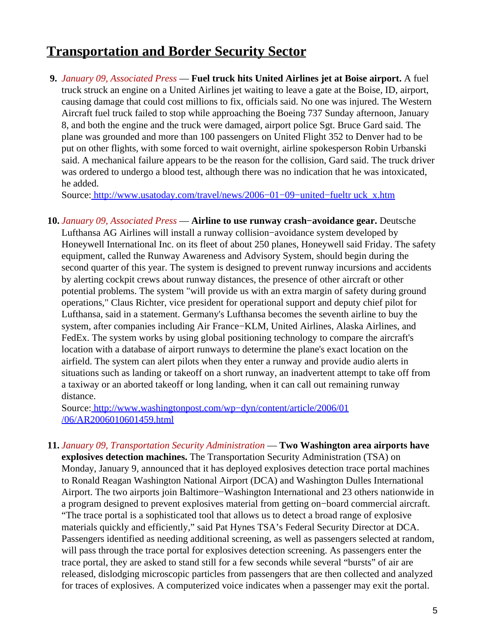### <span id="page-4-1"></span>**Transportation and Border Security Sector**

<span id="page-4-0"></span>**9.** *January 09, Associated Press* — **Fuel truck hits United Airlines jet at Boise airport.** A fuel truck struck an engine on a United Airlines jet waiting to leave a gate at the Boise, ID, airport, causing damage that could cost millions to fix, officials said. No one was injured. The Western Aircraft fuel truck failed to stop while approaching the Boeing 737 Sunday afternoon, January 8, and both the engine and the truck were damaged, airport police Sgt. Bruce Gard said. The plane was grounded and more than 100 passengers on United Flight 352 to Denver had to be put on other flights, with some forced to wait overnight, airline spokesperson Robin Urbanski said. A mechanical failure appears to be the reason for the collision, Gard said. The truck driver was ordered to undergo a blood test, although there was no indication that he was intoxicated, he added.

Source[: http://www.usatoday.com/travel/news/2006−01−09−united−fueltr uck\\_x.htm](http://www.usatoday.com/travel/news/2006-01-09-united-fueltruck_x.htm)

**10.** *January 09, Associated Press* — **Airline to use runway crash−avoidance gear.** Deutsche Lufthansa AG Airlines will install a runway collision−avoidance system developed by Honeywell International Inc. on its fleet of about 250 planes, Honeywell said Friday. The safety equipment, called the Runway Awareness and Advisory System, should begin during the second quarter of this year. The system is designed to prevent runway incursions and accidents by alerting cockpit crews about runway distances, the presence of other aircraft or other potential problems. The system "will provide us with an extra margin of safety during ground operations," Claus Richter, vice president for operational support and deputy chief pilot for Lufthansa, said in a statement. Germany's Lufthansa becomes the seventh airline to buy the system, after companies including Air France−KLM, United Airlines, Alaska Airlines, and FedEx. The system works by using global positioning technology to compare the aircraft's location with a database of airport runways to determine the plane's exact location on the airfield. The system can alert pilots when they enter a runway and provide audio alerts in situations such as landing or takeoff on a short runway, an inadvertent attempt to take off from a taxiway or an aborted takeoff or long landing, when it can call out remaining runway distance.

Source[: http://www.washingtonpost.com/wp−dyn/content/article/2006/01](http://www.washingtonpost.com/wp-dyn/content/article/2006/01/06/AR2006010601459.html) [/06/AR2006010601459.html](http://www.washingtonpost.com/wp-dyn/content/article/2006/01/06/AR2006010601459.html)

**11.** *January 09, Transportation Security Administration* — **Two Washington area airports have explosives detection machines.** The Transportation Security Administration (TSA) on Monday, January 9, announced that it has deployed explosives detection trace portal machines to Ronald Reagan Washington National Airport (DCA) and Washington Dulles International Airport. The two airports join Baltimore−Washington International and 23 others nationwide in a program designed to prevent explosives material from getting on−board commercial aircraft. "The trace portal is a sophisticated tool that allows us to detect a broad range of explosive materials quickly and efficiently," said Pat Hynes TSA's Federal Security Director at DCA. Passengers identified as needing additional screening, as well as passengers selected at random, will pass through the trace portal for explosives detection screening. As passengers enter the trace portal, they are asked to stand still for a few seconds while several "bursts" of air are released, dislodging microscopic particles from passengers that are then collected and analyzed for traces of explosives. A computerized voice indicates when a passenger may exit the portal.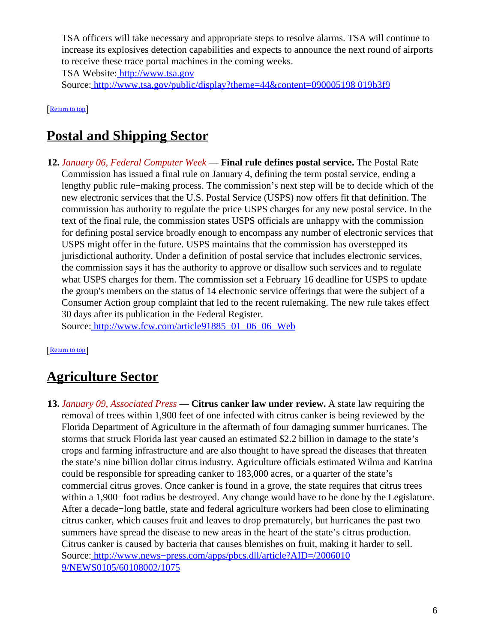TSA officers will take necessary and appropriate steps to resolve alarms. TSA will continue to increase its explosives detection capabilities and expects to announce the next round of airports to receive these trace portal machines in the coming weeks.

TSA Website[: http://www.tsa.gov](http://www.tsa.gov)

Source[: http://www.tsa.gov/public/display?theme=44&content=090005198 019b3f9](http://www.tsa.gov/public/display?theme=44&content=090005198019b3f9)

[[Return to top](#page-0-1)]

## <span id="page-5-0"></span>**Postal and Shipping Sector**

**12.** *January 06, Federal Computer Week* — **Final rule defines postal service.** The Postal Rate Commission has issued a final rule on January 4, defining the term postal service, ending a lengthy public rule−making process. The commission's next step will be to decide which of the new electronic services that the U.S. Postal Service (USPS) now offers fit that definition. The commission has authority to regulate the price USPS charges for any new postal service. In the text of the final rule, the commission states USPS officials are unhappy with the commission for defining postal service broadly enough to encompass any number of electronic services that USPS might offer in the future. USPS maintains that the commission has overstepped its jurisdictional authority. Under a definition of postal service that includes electronic services, the commission says it has the authority to approve or disallow such services and to regulate what USPS charges for them. The commission set a February 16 deadline for USPS to update the group's members on the status of 14 electronic service offerings that were the subject of a Consumer Action group complaint that led to the recent rulemaking. The new rule takes effect 30 days after its publication in the Federal Register.

Source[: http://www.fcw.com/article91885−01−06−06−Web](http://www.fcw.com/article91885-01-06-06-Web)

#### [[Return to top](#page-0-1)]

## <span id="page-5-1"></span>**Agriculture Sector**

**13.** *January 09, Associated Press* — **Citrus canker law under review.** A state law requiring the removal of trees within 1,900 feet of one infected with citrus canker is being reviewed by the Florida Department of Agriculture in the aftermath of four damaging summer hurricanes. The storms that struck Florida last year caused an estimated \$2.2 billion in damage to the state's crops and farming infrastructure and are also thought to have spread the diseases that threaten the state's nine billion dollar citrus industry. Agriculture officials estimated Wilma and Katrina could be responsible for spreading canker to 183,000 acres, or a quarter of the state's commercial citrus groves. Once canker is found in a grove, the state requires that citrus trees within a 1,900−foot radius be destroyed. Any change would have to be done by the Legislature. After a decade−long battle, state and federal agriculture workers had been close to eliminating citrus canker, which causes fruit and leaves to drop prematurely, but hurricanes the past two summers have spread the disease to new areas in the heart of the state's citrus production. Citrus canker is caused by bacteria that causes blemishes on fruit, making it harder to sell. Source[: http://www.news−press.com/apps/pbcs.dll/article?AID=/2006010](http://www.news-press.com/apps/pbcs.dll/article?AID=/20060109/NEWS0105/60108002/1075) [9/NEWS0105/60108002/1075](http://www.news-press.com/apps/pbcs.dll/article?AID=/20060109/NEWS0105/60108002/1075)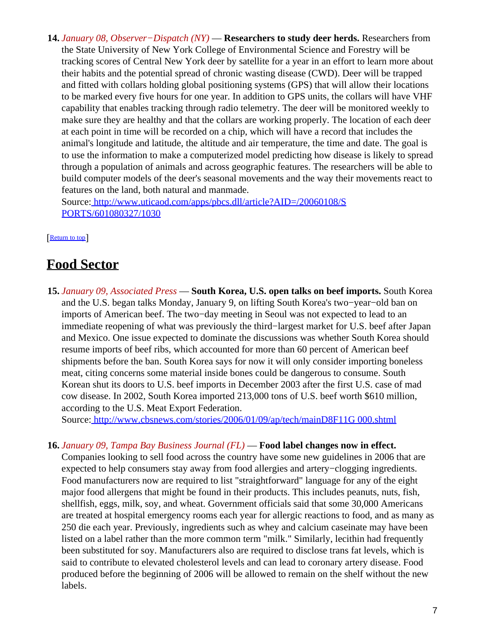**14.** *January 08, Observer−Dispatch (NY)* — **Researchers to study deer herds.** Researchers from the State University of New York College of Environmental Science and Forestry will be tracking scores of Central New York deer by satellite for a year in an effort to learn more about their habits and the potential spread of chronic wasting disease (CWD). Deer will be trapped and fitted with collars holding global positioning systems (GPS) that will allow their locations to be marked every five hours for one year. In addition to GPS units, the collars will have VHF capability that enables tracking through radio telemetry. The deer will be monitored weekly to make sure they are healthy and that the collars are working properly. The location of each deer at each point in time will be recorded on a chip, which will have a record that includes the animal's longitude and latitude, the altitude and air temperature, the time and date. The goal is to use the information to make a computerized model predicting how disease is likely to spread through a population of animals and across geographic features. The researchers will be able to build computer models of the deer's seasonal movements and the way their movements react to features on the land, both natural and manmade.

Source[: http://www.uticaod.com/apps/pbcs.dll/article?AID=/20060108/S](http://www.uticaod.com/apps/pbcs.dll/article?AID=/20060108/SPORTS/601080327/1030) [PORTS/601080327/1030](http://www.uticaod.com/apps/pbcs.dll/article?AID=/20060108/SPORTS/601080327/1030)

[[Return to top](#page-0-1)]

### <span id="page-6-0"></span>**Food Sector**

**15.** *January 09, Associated Press* — **South Korea, U.S. open talks on beef imports.** South Korea and the U.S. began talks Monday, January 9, on lifting South Korea's two−year−old ban on imports of American beef. The two−day meeting in Seoul was not expected to lead to an immediate reopening of what was previously the third−largest market for U.S. beef after Japan and Mexico. One issue expected to dominate the discussions was whether South Korea should resume imports of beef ribs, which accounted for more than 60 percent of American beef shipments before the ban. South Korea says for now it will only consider importing boneless meat, citing concerns some material inside bones could be dangerous to consume. South Korean shut its doors to U.S. beef imports in December 2003 after the first U.S. case of mad cow disease. In 2002, South Korea imported 213,000 tons of U.S. beef worth \$610 million, according to the U.S. Meat Export Federation.

Source[: http://www.cbsnews.com/stories/2006/01/09/ap/tech/mainD8F11G 000.shtml](http://www.cbsnews.com/stories/2006/01/09/ap/tech/mainD8F11G000.shtml)

#### **16.** *January 09, Tampa Bay Business Journal (FL)* — **Food label changes now in effect.**

Companies looking to sell food across the country have some new guidelines in 2006 that are expected to help consumers stay away from food allergies and artery−clogging ingredients. Food manufacturers now are required to list "straightforward" language for any of the eight major food allergens that might be found in their products. This includes peanuts, nuts, fish, shellfish, eggs, milk, soy, and wheat. Government officials said that some 30,000 Americans are treated at hospital emergency rooms each year for allergic reactions to food, and as many as 250 die each year. Previously, ingredients such as whey and calcium caseinate may have been listed on a label rather than the more common term "milk." Similarly, lecithin had frequently been substituted for soy. Manufacturers also are required to disclose trans fat levels, which is said to contribute to elevated cholesterol levels and can lead to coronary artery disease. Food produced before the beginning of 2006 will be allowed to remain on the shelf without the new labels.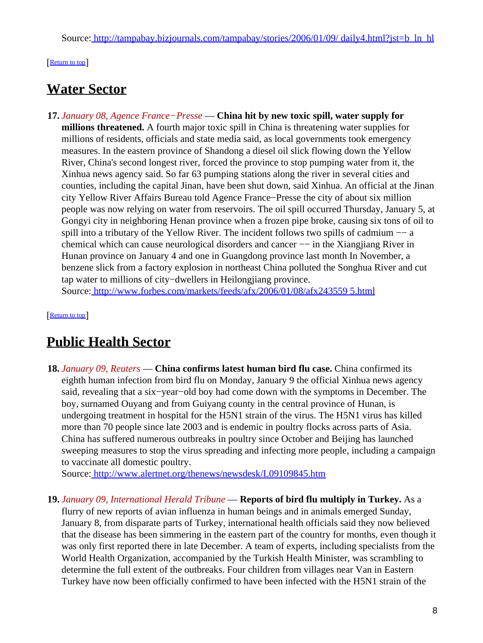#### [[Return to top](#page-0-1)]

### <span id="page-7-0"></span>**Water Sector**

**17.** *January 08, Agence France−Presse* — **China hit by new toxic spill, water supply for millions threatened.** A fourth major toxic spill in China is threatening water supplies for millions of residents, officials and state media said, as local governments took emergency measures. In the eastern province of Shandong a diesel oil slick flowing down the Yellow River, China's second longest river, forced the province to stop pumping water from it, the Xinhua news agency said. So far 63 pumping stations along the river in several cities and counties, including the capital Jinan, have been shut down, said Xinhua. An official at the Jinan city Yellow River Affairs Bureau told Agence France−Presse the city of about six million people was now relying on water from reservoirs. The oil spill occurred Thursday, January 5, at Gongyi city in neighboring Henan province when a frozen pipe broke, causing six tons of oil to spill into a tributary of the Yellow River. The incident follows two spills of cadmium –– a chemical which can cause neurological disorders and cancer −− in the Xiangjiang River in Hunan province on January 4 and one in Guangdong province last month In November, a benzene slick from a factory explosion in northeast China polluted the Songhua River and cut tap water to millions of city−dwellers in Heilongjiang province. Source[: http://www.forbes.com/markets/feeds/afx/2006/01/08/afx243559 5.html](http://www.forbes.com/markets/feeds/afx/2006/01/08/afx2435595.html)

[[Return to top](#page-0-1)]

### <span id="page-7-1"></span>**Public Health Sector**

**18.** *January 09, Reuters* — **China confirms latest human bird flu case.** China confirmed its eighth human infection from bird flu on Monday, January 9 the official Xinhua news agency said, revealing that a six−year−old boy had come down with the symptoms in December. The boy, surnamed Ouyang and from Guiyang county in the central province of Hunan, is undergoing treatment in hospital for the H5N1 strain of the virus. The H5N1 virus has killed more than 70 people since late 2003 and is endemic in poultry flocks across parts of Asia. China has suffered numerous outbreaks in poultry since October and Beijing has launched sweeping measures to stop the virus spreading and infecting more people, including a campaign to vaccinate all domestic poultry.

Source[: http://www.alertnet.org/thenews/newsdesk/L09109845.htm](http://www.alertnet.org/thenews/newsdesk/L09109845.htm)

**19.** *January 09, International Herald Tribune* — **Reports of bird flu multiply in Turkey.** As a flurry of new reports of avian influenza in human beings and in animals emerged Sunday, January 8, from disparate parts of Turkey, international health officials said they now believed that the disease has been simmering in the eastern part of the country for months, even though it was only first reported there in late December. A team of experts, including specialists from the World Health Organization, accompanied by the Turkish Health Minister, was scrambling to determine the full extent of the outbreaks. Four children from villages near Van in Eastern Turkey have now been officially confirmed to have been infected with the H5N1 strain of the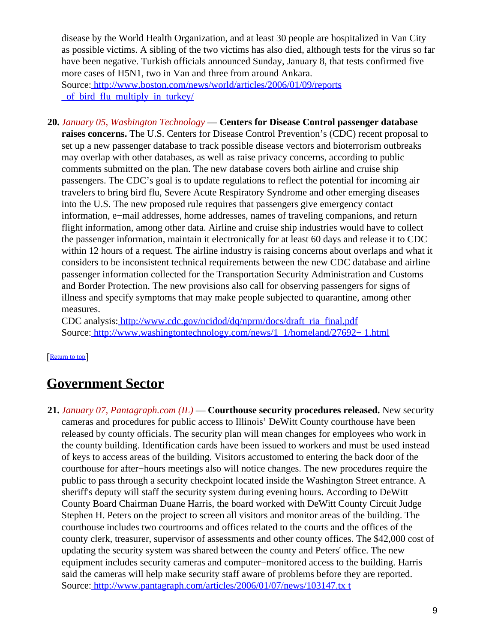disease by the World Health Organization, and at least 30 people are hospitalized in Van City as possible victims. A sibling of the two victims has also died, although tests for the virus so far have been negative. Turkish officials announced Sunday, January 8, that tests confirmed five more cases of H5N1, two in Van and three from around Ankara.

Source[: http://www.boston.com/news/world/articles/2006/01/09/reports](http://www.boston.com/news/world/articles/2006/01/09/reports_of_bird_flu_multiply_in_turkey/) of bird flu multiply in turkey/

**20.** *January 05, Washington Technology* — **Centers for Disease Control passenger database raises concerns.** The U.S. Centers for Disease Control Prevention's (CDC) recent proposal to set up a new passenger database to track possible disease vectors and bioterrorism outbreaks may overlap with other databases, as well as raise privacy concerns, according to public comments submitted on the plan. The new database covers both airline and cruise ship passengers. The CDC's goal is to update regulations to reflect the potential for incoming air travelers to bring bird flu, Severe Acute Respiratory Syndrome and other emerging diseases into the U.S. The new proposed rule requires that passengers give emergency contact information, e−mail addresses, home addresses, names of traveling companions, and return flight information, among other data. Airline and cruise ship industries would have to collect the passenger information, maintain it electronically for at least 60 days and release it to CDC within 12 hours of a request. The airline industry is raising concerns about overlaps and what it considers to be inconsistent technical requirements between the new CDC database and airline passenger information collected for the Transportation Security Administration and Customs and Border Protection. The new provisions also call for observing passengers for signs of illness and specify symptoms that may make people subjected to quarantine, among other measures.

CDC analysis: [http://www.cdc.gov/ncidod/dq/nprm/docs/draft\\_ria\\_final.pdf](http://www.cdc.gov/ncidod/dq/nprm/docs/draft_ria_final.pdf) Source[: http://www.washingtontechnology.com/news/1\\_1/homeland/27692− 1.html](http://www.washingtontechnology.com/news/1_1/homeland/27692-1.html)

#### [[Return to top](#page-0-1)]

### <span id="page-8-0"></span>**Government Sector**

**21.** *January 07, Pantagraph.com (IL)* — **Courthouse security procedures released.** New security cameras and procedures for public access to Illinois' DeWitt County courthouse have been released by county officials. The security plan will mean changes for employees who work in the county building. Identification cards have been issued to workers and must be used instead of keys to access areas of the building. Visitors accustomed to entering the back door of the courthouse for after−hours meetings also will notice changes. The new procedures require the public to pass through a security checkpoint located inside the Washington Street entrance. A sheriff's deputy will staff the security system during evening hours. According to DeWitt County Board Chairman Duane Harris, the board worked with DeWitt County Circuit Judge Stephen H. Peters on the project to screen all visitors and monitor areas of the building. The courthouse includes two courtrooms and offices related to the courts and the offices of the county clerk, treasurer, supervisor of assessments and other county offices. The \$42,000 cost of updating the security system was shared between the county and Peters' office. The new equipment includes security cameras and computer−monitored access to the building. Harris said the cameras will help make security staff aware of problems before they are reported. Source[: http://www.pantagraph.com/articles/2006/01/07/news/103147.tx t](http://www.pantagraph.com/articles/2006/01/07/news/103147.txt)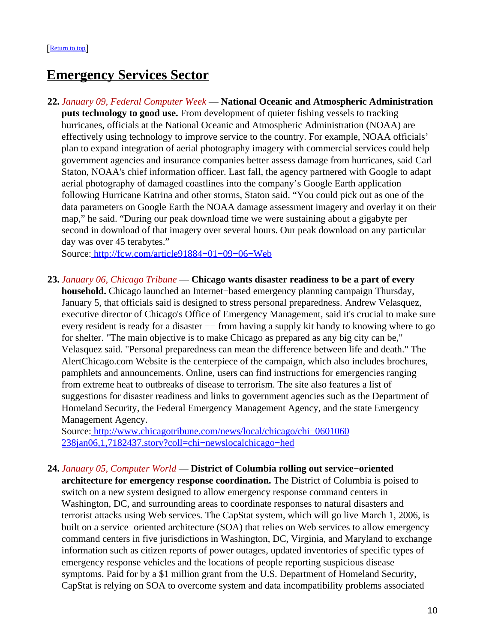### <span id="page-9-1"></span>**Emergency Services Sector**

**22.** *January 09, Federal Computer Week* — **National Oceanic and Atmospheric Administration puts technology to good use.** From development of quieter fishing vessels to tracking hurricanes, officials at the National Oceanic and Atmospheric Administration (NOAA) are effectively using technology to improve service to the country. For example, NOAA officials' plan to expand integration of aerial photography imagery with commercial services could help government agencies and insurance companies better assess damage from hurricanes, said Carl Staton, NOAA's chief information officer. Last fall, the agency partnered with Google to adapt aerial photography of damaged coastlines into the company's Google Earth application following Hurricane Katrina and other storms, Staton said. "You could pick out as one of the data parameters on Google Earth the NOAA damage assessment imagery and overlay it on their map," he said. "During our peak download time we were sustaining about a gigabyte per second in download of that imagery over several hours. Our peak download on any particular day was over 45 terabytes."

Source[: http://fcw.com/article91884−01−09−06−Web](http://fcw.com/article91884-01-09-06-Web)

<span id="page-9-0"></span>**23.** *January 06, Chicago Tribune* — **Chicago wants disaster readiness to be a part of every**

**household.** Chicago launched an Internet−based emergency planning campaign Thursday, January 5, that officials said is designed to stress personal preparedness. Andrew Velasquez, executive director of Chicago's Office of Emergency Management, said it's crucial to make sure every resident is ready for a disaster  $-$  from having a supply kit handy to knowing where to go for shelter. "The main objective is to make Chicago as prepared as any big city can be," Velasquez said. "Personal preparedness can mean the difference between life and death." The AlertChicago.com Website is the centerpiece of the campaign, which also includes brochures, pamphlets and announcements. Online, users can find instructions for emergencies ranging from extreme heat to outbreaks of disease to terrorism. The site also features a list of suggestions for disaster readiness and links to government agencies such as the Department of Homeland Security, the Federal Emergency Management Agency, and the state Emergency Management Agency.

Source[: http://www.chicagotribune.com/news/local/chicago/chi−0601060](http://www.chicagotribune.com/news/local/chicago/chi-0601060238jan06,1,7182437.story?coll=chi-newslocalchicago-hed) [238jan06,1,7182437.story?coll=chi−newslocalchicago−hed](http://www.chicagotribune.com/news/local/chicago/chi-0601060238jan06,1,7182437.story?coll=chi-newslocalchicago-hed)

**24.** *January 05, Computer World* — **District of Columbia rolling out service−oriented**

**architecture for emergency response coordination.** The District of Columbia is poised to switch on a new system designed to allow emergency response command centers in Washington, DC, and surrounding areas to coordinate responses to natural disasters and terrorist attacks using Web services. The CapStat system, which will go live March 1, 2006, is built on a service−oriented architecture (SOA) that relies on Web services to allow emergency command centers in five jurisdictions in Washington, DC, Virginia, and Maryland to exchange information such as citizen reports of power outages, updated inventories of specific types of emergency response vehicles and the locations of people reporting suspicious disease symptoms. Paid for by a \$1 million grant from the U.S. Department of Homeland Security, CapStat is relying on SOA to overcome system and data incompatibility problems associated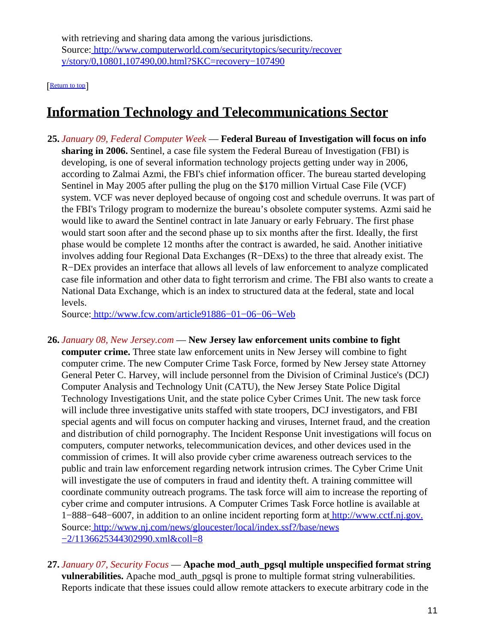with retrieving and sharing data among the various jurisdictions. Source[: http://www.computerworld.com/securitytopics/security/recover](http://www.computerworld.com/securitytopics/security/recovery/story/0,10801,107490,00.html?SKC=recovery-107490) [y/story/0,10801,107490,00.html?SKC=recovery−107490](http://www.computerworld.com/securitytopics/security/recovery/story/0,10801,107490,00.html?SKC=recovery-107490)

[[Return to top](#page-0-1)]

### <span id="page-10-0"></span>**Information Technology and Telecommunications Sector**

**25.** *January 09, Federal Computer Week* — **Federal Bureau of Investigation will focus on info sharing in 2006.** Sentinel, a case file system the Federal Bureau of Investigation (FBI) is developing, is one of several information technology projects getting under way in 2006, according to Zalmai Azmi, the FBI's chief information officer. The bureau started developing Sentinel in May 2005 after pulling the plug on the \$170 million Virtual Case File (VCF) system. VCF was never deployed because of ongoing cost and schedule overruns. It was part of the FBI's Trilogy program to modernize the bureau's obsolete computer systems. Azmi said he would like to award the Sentinel contract in late January or early February. The first phase would start soon after and the second phase up to six months after the first. Ideally, the first phase would be complete 12 months after the contract is awarded, he said. Another initiative involves adding four Regional Data Exchanges (R−DExs) to the three that already exist. The R−DEx provides an interface that allows all levels of law enforcement to analyze complicated case file information and other data to fight terrorism and crime. The FBI also wants to create a National Data Exchange, which is an index to structured data at the federal, state and local levels.

Source[: http://www.fcw.com/article91886−01−06−06−Web](http://www.fcw.com/article91886-01-06-06-Web)

- **26.** *January 08, New Jersey.com* — **New Jersey law enforcement units combine to fight computer crime.** Three state law enforcement units in New Jersey will combine to fight computer crime. The new Computer Crime Task Force, formed by New Jersey state Attorney General Peter C. Harvey, will include personnel from the Division of Criminal Justice's (DCJ) Computer Analysis and Technology Unit (CATU), the New Jersey State Police Digital Technology Investigations Unit, and the state police Cyber Crimes Unit. The new task force will include three investigative units staffed with state troopers, DCJ investigators, and FBI special agents and will focus on computer hacking and viruses, Internet fraud, and the creation and distribution of child pornography. The Incident Response Unit investigations will focus on computers, computer networks, telecommunication devices, and other devices used in the commission of crimes. It will also provide cyber crime awareness outreach services to the public and train law enforcement regarding network intrusion crimes. The Cyber Crime Unit will investigate the use of computers in fraud and identity theft. A training committee will coordinate community outreach programs. The task force will aim to increase the reporting of cyber crime and computer intrusions. A Computer Crimes Task Force hotline is available at 1−888−648−6007, in addition to an online incident reporting form a[t http://www.cctf.nj.gov.](http://www.cctf.nj.gov.) Source[: http://www.nj.com/news/gloucester/local/index.ssf?/base/news](http://www.nj.com/news/gloucester/local/index.ssf?/base/news-2/1136625344302990.xml&coll=8) [−2/1136625344302990.xml&coll=8](http://www.nj.com/news/gloucester/local/index.ssf?/base/news-2/1136625344302990.xml&coll=8)
- **27.** *January 07, Security Focus* — **Apache mod\_auth\_pgsql multiple unspecified format string vulnerabilities.** Apache mod\_auth\_pgsql is prone to multiple format string vulnerabilities. Reports indicate that these issues could allow remote attackers to execute arbitrary code in the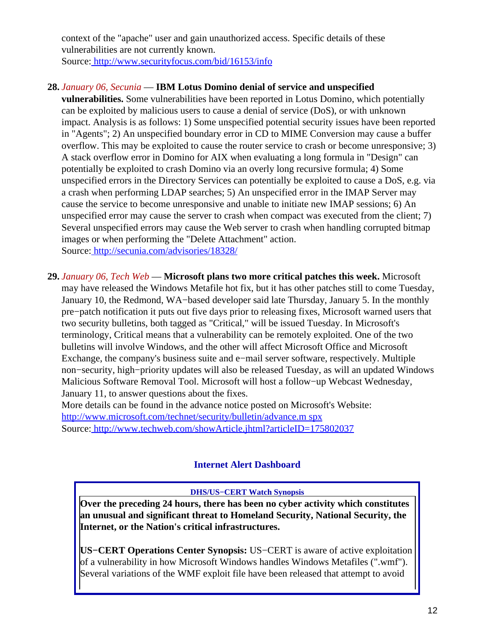context of the "apache" user and gain unauthorized access. Specific details of these vulnerabilities are not currently known. Source[: http://www.securityfocus.com/bid/16153/info](http://www.securityfocus.com/bid/16153/info)

### **28.** *January 06, Secunia* — **IBM Lotus Domino denial of service and unspecified**

**vulnerabilities.** Some vulnerabilities have been reported in Lotus Domino, which potentially can be exploited by malicious users to cause a denial of service (DoS), or with unknown impact. Analysis is as follows: 1) Some unspecified potential security issues have been reported in "Agents"; 2) An unspecified boundary error in CD to MIME Conversion may cause a buffer overflow. This may be exploited to cause the router service to crash or become unresponsive; 3) A stack overflow error in Domino for AIX when evaluating a long formula in "Design" can potentially be exploited to crash Domino via an overly long recursive formula; 4) Some unspecified errors in the Directory Services can potentially be exploited to cause a DoS, e.g. via a crash when performing LDAP searches; 5) An unspecified error in the IMAP Server may cause the service to become unresponsive and unable to initiate new IMAP sessions; 6) An unspecified error may cause the server to crash when compact was executed from the client; 7) Several unspecified errors may cause the Web server to crash when handling corrupted bitmap images or when performing the "Delete Attachment" action. Source[: http://secunia.com/advisories/18328/](http://secunia.com/advisories/18328/)

**29.** *January 06, Tech Web* — **Microsoft plans two more critical patches this week.** Microsoft may have released the Windows Metafile hot fix, but it has other patches still to come Tuesday, January 10, the Redmond, WA−based developer said late Thursday, January 5. In the monthly pre−patch notification it puts out five days prior to releasing fixes, Microsoft warned users that two security bulletins, both tagged as "Critical," will be issued Tuesday. In Microsoft's terminology, Critical means that a vulnerability can be remotely exploited. One of the two bulletins will involve Windows, and the other will affect Microsoft Office and Microsoft Exchange, the company's business suite and e−mail server software, respectively. Multiple non−security, high−priority updates will also be released Tuesday, as will an updated Windows Malicious Software Removal Tool. Microsoft will host a follow−up Webcast Wednesday, January 11, to answer questions about the fixes.

<span id="page-11-0"></span>More details can be found in the advance notice posted on Microsoft's Website: [http://www.microsoft.com/technet/security/bulletin/advance.m spx](http://www.microsoft.com/technet/security/bulletin/advance.mspx) Source[: http://www.techweb.com/showArticle.jhtml?articleID=175802037](http://www.techweb.com/showArticle.jhtml?articleID=175802037)

#### **Internet Alert Dashboard**

#### **DHS/US−CERT Watch Synopsis**

**Over the preceding 24 hours, there has been no cyber activity which constitutes an unusual and significant threat to Homeland Security, National Security, the Internet, or the Nation's critical infrastructures.**

**US−CERT Operations Center Synopsis:** US−CERT is aware of active exploitation of a vulnerability in how Microsoft Windows handles Windows Metafiles (".wmf"). Several variations of the WMF exploit file have been released that attempt to avoid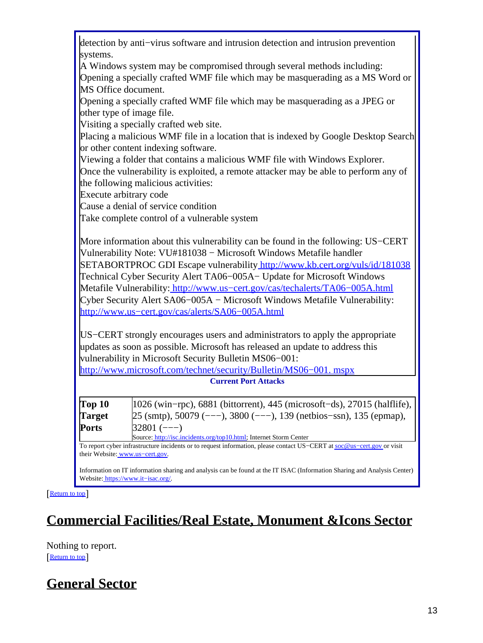detection by anti−virus software and intrusion detection and intrusion prevention systems.

A Windows system may be compromised through several methods including: Opening a specially crafted WMF file which may be masquerading as a MS Word or MS Office document.

Opening a specially crafted WMF file which may be masquerading as a JPEG or other type of image file.

Visiting a specially crafted web site.

Placing a malicious WMF file in a location that is indexed by Google Desktop Search or other content indexing software.

Viewing a folder that contains a malicious WMF file with Windows Explorer.

Once the vulnerability is exploited, a remote attacker may be able to perform any of the following malicious activities:

Execute arbitrary code

Cause a denial of service condition

Take complete control of a vulnerable system

More information about this vulnerability can be found in the following: US−CERT Vulnerability Note: VU#181038 − Microsoft Windows Metafile handler SETABORTPROC GDI Escape vulnerability<http://www.kb.cert.org/vuls/id/181038> Technical Cyber Security Alert TA06−005A− Update for Microsoft Windows Metafile Vulnerability: [http://www.us−cert.gov/cas/techalerts/TA06−005A.html](http://www.us-cert.gov/cas/techalerts/TA06-005A.html) Cyber Security Alert SA06−005A − Microsoft Windows Metafile Vulnerability: [http://www.us−cert.gov/cas/alerts/SA06−005A.html](http://www.us-cert.gov/cas/alerts/SA06-005A.html)

US−CERT strongly encourages users and administrators to apply the appropriate updates as soon as possible. Microsoft has released an update to address this vulnerability in Microsoft Security Bulletin MS06−001:

[http://www.microsoft.com/technet/security/Bulletin/MS06−001. mspx](http://www.microsoft.com/technet/security/Bulletin/MS06-001.mspx) **Current Port Attacks**

| Top 10        | $ 1026 \text{ (win-pro)}$ , 6881 (bittorrent), 445 (microsoft-ds), 27015 (halflife),                                                                                                                                                                                                               |
|---------------|----------------------------------------------------------------------------------------------------------------------------------------------------------------------------------------------------------------------------------------------------------------------------------------------------|
| <b>Target</b> | $25 \text{ (smtp)}$ , 50079 (---), 3800 (---), 139 (netbios-ssn), 135 (epmap),                                                                                                                                                                                                                     |
| Ports         | $32801$ (---)                                                                                                                                                                                                                                                                                      |
|               | $\mathbf{1}$ , $\mathbf{1}^n$ , $\mathbf{1}^n$ , $\mathbf{1}^n$ , $\mathbf{1}^n$ , $\mathbf{1}^n$ , $\mathbf{1}^n$ , $\mathbf{1}^n$ , $\mathbf{1}^n$ , $\mathbf{1}^n$ , $\mathbf{1}^n$ , $\mathbf{1}^n$ , $\mathbf{1}^n$ , $\mathbf{1}^n$ , $\mathbf{1}^n$ , $\mathbf{1}^n$ , $\mathbf{1}^n$ , $\$ |

Source: [http://isc.incidents.org/top10.html;](http://isc.incidents.org/top10.html) Internet Storm Center To report cyber infrastructure incidents or to request information, please contact US–CERT at [soc@us−cert.gov](mailto:soc@us-cert.gov) or visit

their Website: [www.us−cert.gov.](http://www.us-cert.gov/)

Information on IT information sharing and analysis can be found at the IT ISAC (Information Sharing and Analysis Center) Website: [https://www.it−isac.org/.](https://www.it-isac.org/)

[[Return to top](#page-0-1)]

# <span id="page-12-0"></span>**Commercial Facilities/Real Estate, Monument &Icons Sector**

Nothing to report. [[Return to top](#page-0-1)]

## <span id="page-12-1"></span>**General Sector**